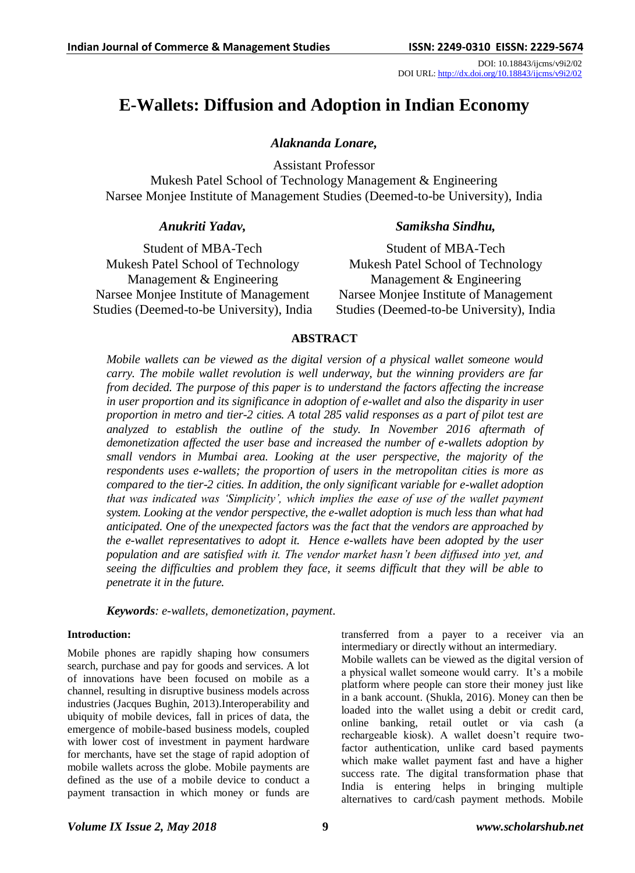DOI: 10.18843/ijcms/v9i2/02 DOI URL: http://dx.doi.org/10.18843/ijcms/v9i2/02

# **E-Wallets: Diffusion and Adoption in Indian Economy**

## *Alaknanda Lonare,*

Assistant Professor

Mukesh Patel School of Technology Management & Engineering Narsee Monjee Institute of Management Studies (Deemed-to-be University), India

## *Anukriti Yadav,*

## *Samiksha Sindhu,*

Student of MBA-Tech Mukesh Patel School of Technology Management & Engineering Narsee Monjee Institute of Management Studies (Deemed-to-be University), India

Student of MBA-Tech Mukesh Patel School of Technology Management & Engineering Narsee Monjee Institute of Management Studies (Deemed-to-be University), India

## **ABSTRACT**

*Mobile wallets can be viewed as the digital version of a physical wallet someone would carry. The mobile wallet revolution is well underway, but the winning providers are far from decided. The purpose of this paper is to understand the factors affecting the increase in user proportion and its significance in adoption of e-wallet and also the disparity in user proportion in metro and tier-2 cities. A total 285 valid responses as a part of pilot test are analyzed to establish the outline of the study. In November 2016 aftermath of demonetization affected the user base and increased the number of e-wallets adoption by small vendors in Mumbai area. Looking at the user perspective, the majority of the respondents uses e-wallets; the proportion of users in the metropolitan cities is more as compared to the tier-2 cities. In addition, the only significant variable for e-wallet adoption that was indicated was 'Simplicity', which implies the ease of use of the wallet payment system. Looking at the vendor perspective, the e-wallet adoption is much less than what had anticipated. One of the unexpected factors was the fact that the vendors are approached by the e-wallet representatives to adopt it. Hence e-wallets have been adopted by the user population and are satisfied with it. The vendor market hasn't been diffused into yet, and seeing the difficulties and problem they face, it seems difficult that they will be able to penetrate it in the future.*

*Keywords: e-wallets, demonetization, payment.*

## **Introduction:**

Mobile phones are rapidly shaping how consumers search, purchase and pay for goods and services. A lot of innovations have been focused on mobile as a channel, resulting in disruptive business models across industries (Jacques Bughin, 2013).Interoperability and ubiquity of mobile devices, fall in prices of data, the emergence of mobile-based business models, coupled with lower cost of investment in payment hardware for merchants, have set the stage of rapid adoption of mobile wallets across the globe. Mobile payments are defined as the use of a mobile device to conduct a payment transaction in which money or funds are transferred from a payer to a receiver via an intermediary or directly without an intermediary. Mobile wallets can be viewed as the digital version of a physical wallet someone would carry. It's a mobile platform where people can store their money just like in a bank account. (Shukla, 2016). Money can then be loaded into the wallet using a debit or credit card, online banking, retail outlet or via cash (a rechargeable kiosk). A wallet doesn"t require twofactor authentication, unlike card based payments which make wallet payment fast and have a higher success rate. The digital transformation phase that India is entering helps in bringing multiple alternatives to card/cash payment methods. Mobile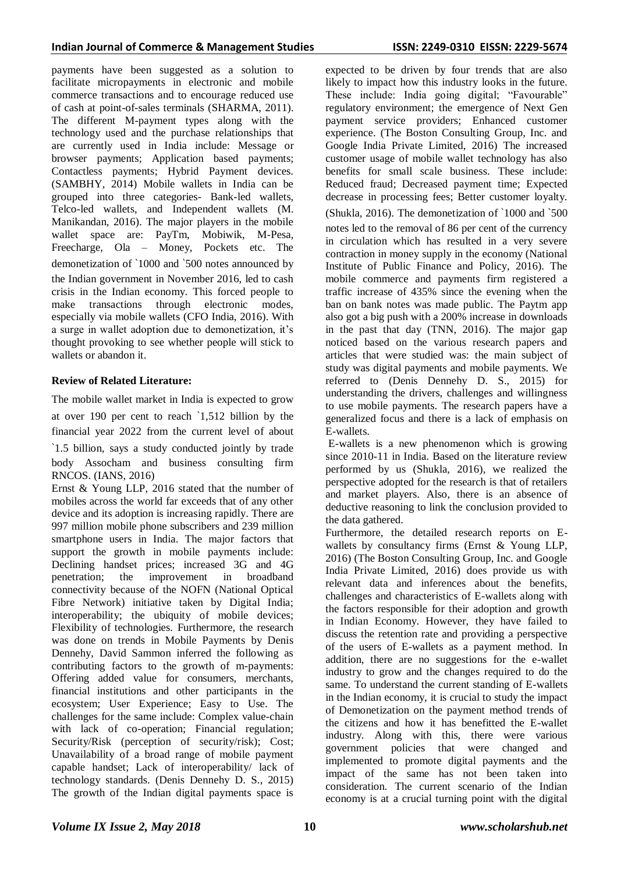payments have been suggested as a solution to facilitate micropayments in electronic and mobile commerce transactions and to encourage reduced use of cash at point-of-sales terminals (SHARMA, 2011). The different M-payment types along with the technology used and the purchase relationships that are currently used in India include: Message or browser payments; Application based payments; Contactless payments; Hybrid Payment devices. (SAMBHY, 2014) Mobile wallets in India can be grouped into three categories- Bank-led wallets, Telco-led wallets, and Independent wallets (M. Manikandan, 2016). The major players in the mobile wallet space are: PayTm, Mobiwik, M-Pesa, Freecharge, Ola – Money, Pockets etc. The demonetization of `1000 and `500 notes announced by the Indian government in November 2016, led to cash crisis in the Indian economy. This forced people to make transactions through electronic modes, especially via mobile wallets (CFO India, 2016). With a surge in wallet adoption due to demonetization, it's thought provoking to see whether people will stick to wallets or abandon it.

## **Review of Related Literature:**

The mobile wallet market in India is expected to grow at over 190 per cent to reach `1,512 billion by the financial year 2022 from the current level of about

`1.5 billion, says a study conducted jointly by trade body Assocham and business consulting firm RNCOS. (IANS, 2016)

Ernst & Young LLP, 2016 stated that the number of mobiles across the world far exceeds that of any other device and its adoption is increasing rapidly. There are 997 million mobile phone subscribers and 239 million smartphone users in India. The major factors that support the growth in mobile payments include: Declining handset prices; increased 3G and 4G penetration; the improvement in broadband connectivity because of the NOFN (National Optical Fibre Network) initiative taken by Digital India; interoperability; the ubiquity of mobile devices; Flexibility of technologies. Furthermore, the research was done on trends in Mobile Payments by Denis Dennehy, David Sammon inferred the following as contributing factors to the growth of m-payments: Offering added value for consumers, merchants, financial institutions and other participants in the ecosystem; User Experience; Easy to Use. The challenges for the same include: Complex value-chain with lack of co-operation; Financial regulation; Security/Risk (perception of security/risk); Cost; Unavailability of a broad range of mobile payment capable handset; Lack of interoperability/ lack of technology standards. (Denis Dennehy D. S., 2015) The growth of the Indian digital payments space is

expected to be driven by four trends that are also likely to impact how this industry looks in the future. These include: India going digital; "Favourable" regulatory environment; the emergence of Next Gen payment service providers; Enhanced customer experience. (The Boston Consulting Group, Inc. and Google India Private Limited, 2016) The increased customer usage of mobile wallet technology has also benefits for small scale business. These include: Reduced fraud; Decreased payment time; Expected decrease in processing fees; Better customer loyalty. (Shukla, 2016). The demonetization of `1000 and `500 notes led to the removal of 86 per cent of the currency in circulation which has resulted in a very severe contraction in money supply in the economy (National Institute of Public Finance and Policy, 2016). The mobile commerce and payments firm registered a traffic increase of 435% since the evening when the ban on bank notes was made public. The Paytm app also got a big push with a 200% increase in downloads in the past that day (TNN, 2016). The major gap noticed based on the various research papers and articles that were studied was: the main subject of study was digital payments and mobile payments. We referred to (Denis Dennehy D. S., 2015) for understanding the drivers, challenges and willingness to use mobile payments. The research papers have a generalized focus and there is a lack of emphasis on E-wallets.

E-wallets is a new phenomenon which is growing since 2010-11 in India. Based on the literature review performed by us (Shukla, 2016), we realized the perspective adopted for the research is that of retailers and market players. Also, there is an absence of deductive reasoning to link the conclusion provided to the data gathered.

Furthermore, the detailed research reports on Ewallets by consultancy firms (Ernst & Young LLP, 2016) (The Boston Consulting Group, Inc. and Google India Private Limited, 2016) does provide us with relevant data and inferences about the benefits, challenges and characteristics of E-wallets along with the factors responsible for their adoption and growth in Indian Economy. However, they have failed to discuss the retention rate and providing a perspective of the users of E-wallets as a payment method. In addition, there are no suggestions for the e-wallet industry to grow and the changes required to do the same. To understand the current standing of E-wallets in the Indian economy, it is crucial to study the impact of Demonetization on the payment method trends of the citizens and how it has benefitted the E-wallet industry. Along with this, there were various government policies that were changed and implemented to promote digital payments and the impact of the same has not been taken into consideration. The current scenario of the Indian economy is at a crucial turning point with the digital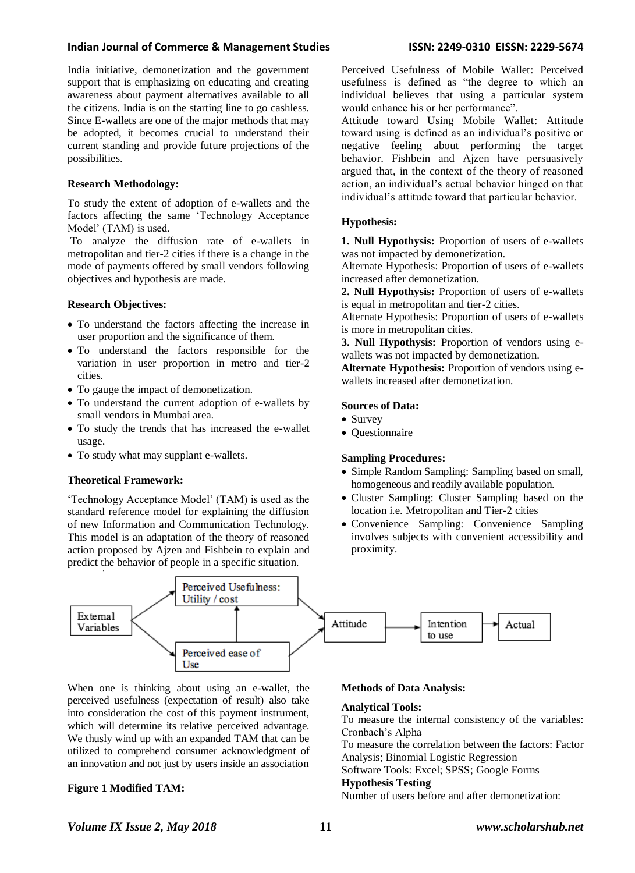#### **Indian Journal of Commerce & Management Studies ISSN: 2249-0310 EISSN: 2229-5674**

India initiative, demonetization and the government support that is emphasizing on educating and creating awareness about payment alternatives available to all the citizens. India is on the starting line to go cashless. Since E-wallets are one of the major methods that may be adopted, it becomes crucial to understand their current standing and provide future projections of the possibilities.

#### **Research Methodology:**

To study the extent of adoption of e-wallets and the factors affecting the same "Technology Acceptance Model" (TAM) is used.

To analyze the diffusion rate of e-wallets in metropolitan and tier-2 cities if there is a change in the mode of payments offered by small vendors following objectives and hypothesis are made.

#### **Research Objectives:**

- To understand the factors affecting the increase in user proportion and the significance of them.
- To understand the factors responsible for the variation in user proportion in metro and tier-2 cities.
- To gauge the impact of demonetization.
- To understand the current adoption of e-wallets by small vendors in Mumbai area.
- To study the trends that has increased the e-wallet usage.
- To study what may supplant e-wallets.

#### **Theoretical Framework:**

"Technology Acceptance Model" (TAM) is used as the standard reference model for explaining the diffusion of new Information and Communication Technology. This model is an adaptation of the theory of reasoned action proposed by Ajzen and Fishbein to explain and predict the behavior of people in a specific situation.

Perceived Usefulness of Mobile Wallet: Perceived usefulness is defined as "the degree to which an individual believes that using a particular system would enhance his or her performance".

Attitude toward Using Mobile Wallet: Attitude toward using is defined as an individual"s positive or negative feeling about performing the target behavior. Fishbein and Ajzen have persuasively argued that, in the context of the theory of reasoned action, an individual"s actual behavior hinged on that individual"s attitude toward that particular behavior.

## **Hypothesis:**

**1. Null Hypothysis:** Proportion of users of e-wallets was not impacted by demonetization.

Alternate Hypothesis: Proportion of users of e-wallets increased after demonetization.

**2. Null Hypothysis:** Proportion of users of e-wallets is equal in metropolitan and tier-2 cities.

Alternate Hypothesis: Proportion of users of e-wallets is more in metropolitan cities.

**3. Null Hypothysis:** Proportion of vendors using ewallets was not impacted by demonetization.

**Alternate Hypothesis:** Proportion of vendors using ewallets increased after demonetization.

#### **Sources of Data:**

- Survey
- Questionnaire

## **Sampling Procedures:**

- Simple Random Sampling: Sampling based on small, homogeneous and readily available population.
- Cluster Sampling: Cluster Sampling based on the location i.e. Metropolitan and Tier-2 cities
- Convenience Sampling: Convenience Sampling involves subjects with convenient accessibility and proximity.



When one is thinking about using an e-wallet, the perceived usefulness (expectation of result) also take into consideration the cost of this payment instrument, which will determine its relative perceived advantage. We thusly wind up with an expanded TAM that can be utilized to comprehend consumer acknowledgment of an innovation and not just by users inside an association

## **Figure 1 Modified TAM:**

#### **Methods of Data Analysis:**

#### **Analytical Tools:**

To measure the internal consistency of the variables: Cronbach"s Alpha

To measure the correlation between the factors: Factor Analysis; Binomial Logistic Regression

Software Tools: Excel; SPSS; Google Forms

#### **Hypothesis Testing**

Number of users before and after demonetization: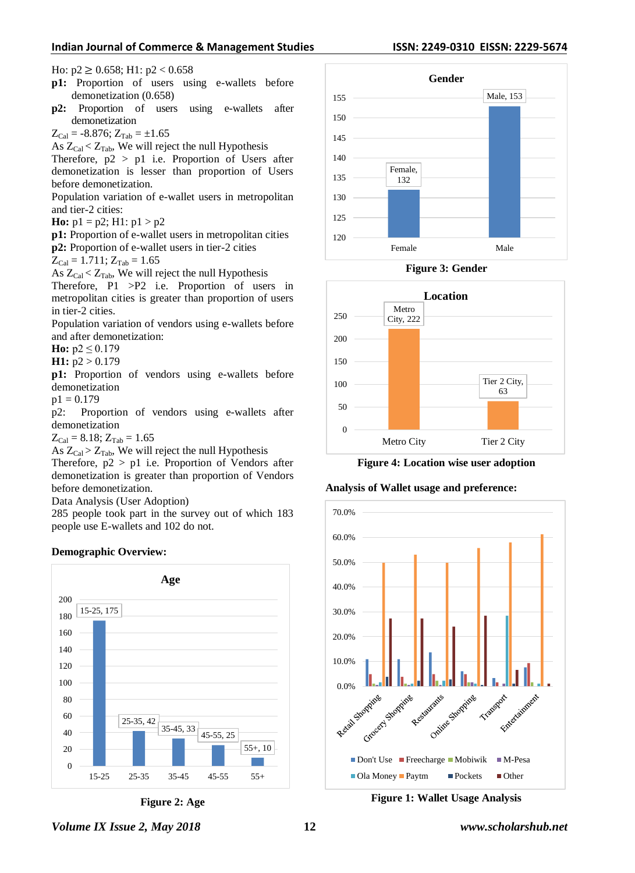#### **Indian Journal of Commerce & Management Studies ISSN: 2249-0310 EISSN: 2229-5674**

Ho:  $p2 \ge 0.658$ ; H1:  $p2 < 0.658$ 

- **p1:** Proportion of users using e-wallets before demonetization (0.658)
- **p2:** Proportion of users using e-wallets after demonetization

 $Z_{Cal} = -8.876$ ;  $Z_{Tab} = \pm 1.65$ 

As  $Z_{Cal} < Z_{Tab}$ , We will reject the null Hypothesis

Therefore,  $p2 > p1$  i.e. Proportion of Users after demonetization is lesser than proportion of Users before demonetization.

Population variation of e-wallet users in metropolitan and tier-2 cities:

**Ho:**  $p1 = p2$ ; H1:  $p1 > p2$ 

**p1:** Proportion of e-wallet users in metropolitan cities **p2:** Proportion of e-wallet users in tier-2 cities

$$
Z_{\text{Cal}} = 1.711; Z_{\text{Tab}} = 1.65
$$

As  $Z_{Cal} < Z_{Tab}$ , We will reject the null Hypothesis

Therefore, P1 >P2 i.e. Proportion of users in metropolitan cities is greater than proportion of users in tier-2 cities.

Population variation of vendors using e-wallets before and after demonetization:

**Ho:**  $p2 \le 0.179$ 

**H1:** p2 > 0.179

**p1:** Proportion of vendors using e-wallets before demonetization

 $p1 = 0.179$ 

p2: Proportion of vendors using e-wallets after demonetization

 $Z_{Cal} = 8.18; Z_{Tab} = 1.65$ 

As  $Z_{Cal} > Z_{Tab}$ , We will reject the null Hypothesis

Therefore,  $p2 > p1$  i.e. Proportion of Vendors after demonetization is greater than proportion of Vendors before demonetization.

Data Analysis (User Adoption)

285 people took part in the survey out of which 183 people use E-wallets and 102 do not.













**Figure 4: Location wise user adoption**

#### **Analysis of Wallet usage and preference:**



**Figure 1: Wallet Usage Analysis**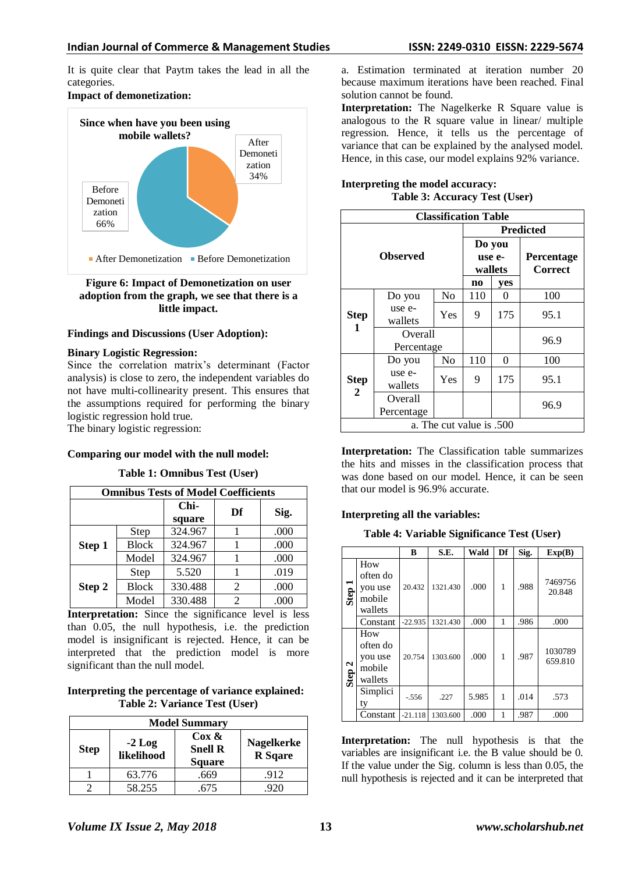It is quite clear that Paytm takes the lead in all the categories.

## **Impact of demonetization:**



**Figure 6: Impact of Demonetization on user adoption from the graph, we see that there is a little impact.**

## **Findings and Discussions (User Adoption):**

#### **Binary Logistic Regression:**

Since the correlation matrix's determinant (Factor analysis) is close to zero, the independent variables do not have multi-collinearity present. This ensures that the assumptions required for performing the binary logistic regression hold true.

The binary logistic regression:

## **Comparing our model with the null model:**

**Table 1: Omnibus Test (User)**

| <b>Omnibus Tests of Model Coefficients</b> |              |                |    |      |  |  |  |
|--------------------------------------------|--------------|----------------|----|------|--|--|--|
|                                            |              | Chi-<br>square | Df | Sig. |  |  |  |
|                                            | Step         | 324.967        |    | .000 |  |  |  |
| Step 1                                     | <b>Block</b> | 324.967        |    | .000 |  |  |  |
|                                            | Model        | 324.967        |    | .000 |  |  |  |
| Step 2                                     | Step         | 5.520          |    | .019 |  |  |  |
|                                            | <b>Block</b> | 330.488        | 2  | .000 |  |  |  |
|                                            | Model        | 330.488        | 2  | .000 |  |  |  |

**Interpretation:** Since the significance level is less than 0.05, the null hypothesis, i.e. the prediction model is insignificant is rejected. Hence, it can be interpreted that the prediction model is more significant than the null model.

**Interpreting the percentage of variance explained: Table 2: Variance Test (User)**

| <b>Model Summary</b> |                                     |      |      |  |  |  |  |
|----------------------|-------------------------------------|------|------|--|--|--|--|
| <b>Step</b>          | <b>Nagelkerke</b><br><b>R</b> Sqare |      |      |  |  |  |  |
|                      | 63.776                              | .669 | .912 |  |  |  |  |
|                      | 58.255                              | .675 | 920  |  |  |  |  |

a. Estimation terminated at iteration number 20 because maximum iterations have been reached. Final solution cannot be found.

**Interpretation:** The Nagelkerke R Square value is analogous to the R square value in linear/ multiple regression. Hence, it tells us the percentage of variance that can be explained by the analysed model. Hence, in this case, our model explains 92% variance.

| Interpreting the model accuracy: |  |                               |
|----------------------------------|--|-------------------------------|
|                                  |  | Table 3: Accuracy Test (User) |

| <b>Classification Table</b> |                       |                |                             |          |                                     |  |  |
|-----------------------------|-----------------------|----------------|-----------------------------|----------|-------------------------------------|--|--|
|                             |                       |                | <b>Predicted</b>            |          |                                     |  |  |
|                             | <b>Observed</b>       |                | Do you<br>use e-<br>wallets |          | <b>Percentage</b><br><b>Correct</b> |  |  |
|                             |                       |                | n <sub>0</sub>              | yes      |                                     |  |  |
|                             | Do you                | N <sub>0</sub> | 110                         | $\Omega$ | 100                                 |  |  |
| <b>Step</b>                 | use e-<br>wallets     | Yes            | 9                           | 175      | 95.1                                |  |  |
| 1                           | Overall<br>Percentage |                |                             |          | 96.9                                |  |  |
|                             | Do you                | N <sub>0</sub> | 110                         | 0        | 100                                 |  |  |
| Step<br>2                   | use e-<br>wallets     | Yes            | 9                           | 175      | 95.1                                |  |  |
|                             | Overall<br>Percentage |                |                             |          | 96.9                                |  |  |
| a. The cut value is .500    |                       |                |                             |          |                                     |  |  |

**Interpretation:** The Classification table summarizes the hits and misses in the classification process that was done based on our model. Hence, it can be seen that our model is 96.9% accurate.

## **Interpreting all the variables:**

**Table 4: Variable Significance Test (User)**

|                   |                                                 | в         | S.E.     | Wald  | Df | Sig. | Exp(B)             |
|-------------------|-------------------------------------------------|-----------|----------|-------|----|------|--------------------|
| Step              | How<br>often do<br>you use<br>mobile<br>wallets | 20.432    | 1321.430 | .000  | 1  | .988 | 7469756<br>20.848  |
|                   | Constant                                        | $-22.935$ | 1321.430 | .000  | 1  | .986 | .000               |
| Step <sub>2</sub> | How<br>often do<br>you use<br>mobile<br>wallets | 20.754    | 1303.600 | .000  | 1  | .987 | 1030789<br>659.810 |
|                   | Simplici<br>ty                                  | $-.556$   | .227     | 5.985 | 1  | .014 | .573               |
|                   | Constant                                        | $-21.118$ | 1303.600 | .000  | 1  | .987 | .000               |

**Interpretation:** The null hypothesis is that the variables are insignificant i.e. the B value should be 0. If the value under the Sig. column is less than 0.05, the null hypothesis is rejected and it can be interpreted that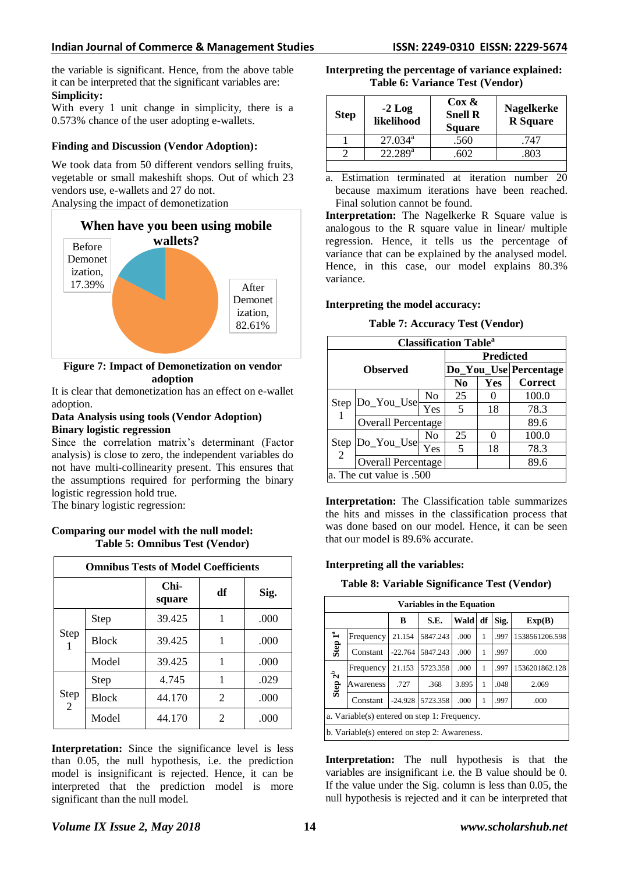the variable is significant. Hence, from the above table it can be interpreted that the significant variables are: **Simplicity:**

With every 1 unit change in simplicity, there is a 0.573% chance of the user adopting e-wallets.

## **Finding and Discussion (Vendor Adoption):**

We took data from 50 different vendors selling fruits, vegetable or small makeshift shops. Out of which 23 vendors use, e-wallets and 27 do not. Analysing the impact of demonetization



## **Figure 7: Impact of Demonetization on vendor adoption**

It is clear that demonetization has an effect on e-wallet adoption.

#### **Data Analysis using tools (Vendor Adoption) Binary logistic regression**

Since the correlation matrix's determinant (Factor analysis) is close to zero, the independent variables do not have multi-collinearity present. This ensures that the assumptions required for performing the binary logistic regression hold true.

The binary logistic regression:

## **Comparing our model with the null model: Table 5: Omnibus Test (Vendor)**

| <b>Omnibus Tests of Model Coefficients</b> |              |                |    |      |  |  |  |
|--------------------------------------------|--------------|----------------|----|------|--|--|--|
|                                            |              | Chi-<br>square | df | Sig. |  |  |  |
| Step                                       | Step         | 39.425         | 1  | .000 |  |  |  |
|                                            | <b>Block</b> | 39.425         |    | .000 |  |  |  |
|                                            | Model        | 39.425         | 1  | .000 |  |  |  |
|                                            | Step         | 4.745          | 1  | .029 |  |  |  |
| Step<br>$2^{^{-}}$                         | <b>Block</b> | 44.170         | 2  | .000 |  |  |  |
|                                            | Model        | 44.170         | 2  | .000 |  |  |  |

**Interpretation:** Since the significance level is less than 0.05, the null hypothesis, i.e. the prediction model is insignificant is rejected. Hence, it can be interpreted that the prediction model is more significant than the null model.

**Interpreting the percentage of variance explained: Table 6: Variance Test (Vendor)**

| <b>Step</b> | $-2$ Log<br>likelihood | $\cos \alpha$<br><b>Snell R</b><br><b>Square</b> | <b>Nagelkerke</b><br><b>R</b> Square |
|-------------|------------------------|--------------------------------------------------|--------------------------------------|
|             | $27.034^{\rm a}$       | .560                                             | .747                                 |
|             | $22.289^{\rm a}$       | 602                                              | 803                                  |
|             |                        |                                                  |                                      |

a. Estimation terminated at iteration number 20 because maximum iterations have been reached. Final solution cannot be found.

**Interpretation:** The Nagelkerke R Square value is analogous to the R square value in linear/ multiple regression. Hence, it tells us the percentage of variance that can be explained by the analysed model. Hence, in this case, our model explains 80.3% variance.

## **Interpreting the model accuracy:**

**Table 7: Accuracy Test (Vendor)**

| <b>Classification Table</b> <sup>a</sup> |                           |                   |                  |      |                       |  |  |
|------------------------------------------|---------------------------|-------------------|------------------|------|-----------------------|--|--|
|                                          |                           |                   | <b>Predicted</b> |      |                       |  |  |
| <b>Observed</b>                          |                           |                   |                  |      | Do_You_Use Percentage |  |  |
|                                          |                           |                   | N <sub>0</sub>   | Yes  | <b>Correct</b>        |  |  |
| Step                                     |                           | No                | 25               |      | 100.0                 |  |  |
|                                          | Do_You_Use                | $\overline{Y}$ es | .5               | 18   | 78.3                  |  |  |
|                                          | Overall Percentage        |                   |                  | 89.6 |                       |  |  |
| Step<br>$\overline{2}$                   | Do_You_Use                | No                | 25               |      | 100.0                 |  |  |
|                                          |                           | Yes               | 5                | 18   | 78.3                  |  |  |
|                                          | <b>Overall Percentage</b> |                   |                  |      | 89.6                  |  |  |
|                                          | a. The cut value is .500  |                   |                  |      |                       |  |  |

**Interpretation:** The Classification table summarizes the hits and misses in the classification process that was done based on our model. Hence, it can be seen that our model is 89.6% accurate.

## **Interpreting all the variables:**

**Table 8: Variable Significance Test (Vendor)**

| <b>Variables in the Equation</b>             |                                                                |           |          |       |   |      |                |  |
|----------------------------------------------|----------------------------------------------------------------|-----------|----------|-------|---|------|----------------|--|
|                                              | Wald<br>S.E.<br>Sig.<br>df<br>B<br>Exp(B)                      |           |          |       |   |      |                |  |
| Step $1^a$                                   | Frequency                                                      | 21.154    | 5847.243 | .000  | 1 | .997 | 1538561206.598 |  |
|                                              | Constant                                                       | $-22.764$ | 5847.243 | .000  | 1 | .997 | .000           |  |
|                                              | Frequency                                                      | 21.153    | 5723.358 | .000  | 1 | .997 | 1536201862.128 |  |
| Step $2^b$                                   | Awareness                                                      | .727      | .368     | 3.895 | 1 | .048 | 2.069          |  |
|                                              | 5723.358<br>$-24.928$<br>Constant<br>.997<br>.000<br>.000<br>1 |           |          |       |   |      |                |  |
| a. Variable(s) entered on step 1: Frequency. |                                                                |           |          |       |   |      |                |  |
|                                              | b. Variable(s) entered on step 2: Awareness.                   |           |          |       |   |      |                |  |

**Interpretation:** The null hypothesis is that the variables are insignificant i.e. the B value should be 0. If the value under the Sig. column is less than 0.05, the null hypothesis is rejected and it can be interpreted that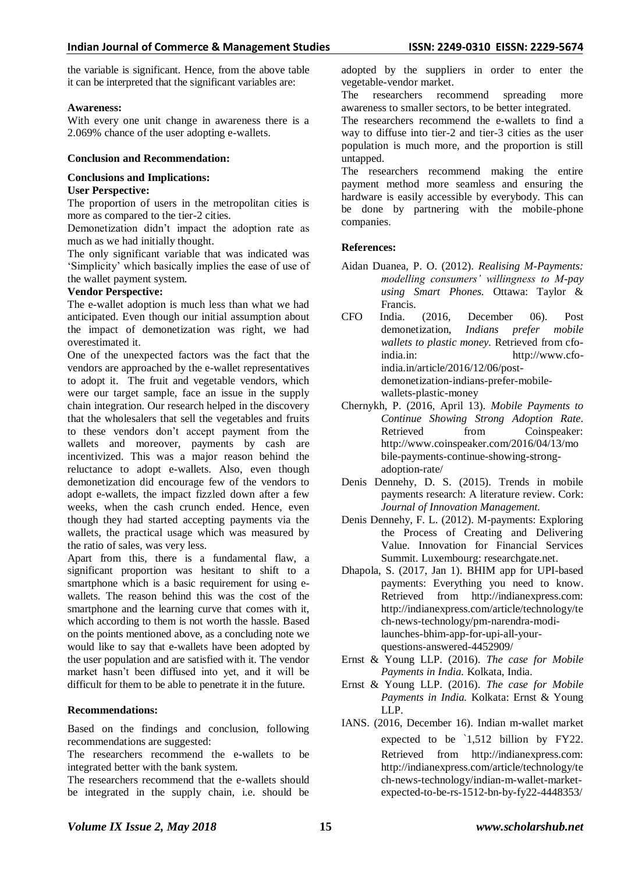the variable is significant. Hence, from the above table it can be interpreted that the significant variables are:

#### **Awareness:**

With every one unit change in awareness there is a 2.069% chance of the user adopting e-wallets.

#### **Conclusion and Recommendation:**

# **Conclusions and Implications:**

#### **User Perspective:**

The proportion of users in the metropolitan cities is more as compared to the tier-2 cities.

Demonetization didn"t impact the adoption rate as much as we had initially thought.

The only significant variable that was indicated was "Simplicity" which basically implies the ease of use of the wallet payment system.

#### **Vendor Perspective:**

The e-wallet adoption is much less than what we had anticipated. Even though our initial assumption about the impact of demonetization was right, we had overestimated it.

One of the unexpected factors was the fact that the vendors are approached by the e-wallet representatives to adopt it. The fruit and vegetable vendors, which were our target sample, face an issue in the supply chain integration. Our research helped in the discovery that the wholesalers that sell the vegetables and fruits to these vendors don"t accept payment from the wallets and moreover, payments by cash are incentivized. This was a major reason behind the reluctance to adopt e-wallets. Also, even though demonetization did encourage few of the vendors to adopt e-wallets, the impact fizzled down after a few weeks, when the cash crunch ended. Hence, even though they had started accepting payments via the wallets, the practical usage which was measured by the ratio of sales, was very less.

Apart from this, there is a fundamental flaw, a significant proportion was hesitant to shift to a smartphone which is a basic requirement for using ewallets. The reason behind this was the cost of the smartphone and the learning curve that comes with it, which according to them is not worth the hassle. Based on the points mentioned above, as a concluding note we would like to say that e-wallets have been adopted by the user population and are satisfied with it. The vendor market hasn"t been diffused into yet, and it will be difficult for them to be able to penetrate it in the future.

## **Recommendations:**

Based on the findings and conclusion, following recommendations are suggested:

The researchers recommend the e-wallets to be integrated better with the bank system.

The researchers recommend that the e-wallets should be integrated in the supply chain, i.e. should be adopted by the suppliers in order to enter the vegetable-vendor market.

The researchers recommend spreading more awareness to smaller sectors, to be better integrated.

The researchers recommend the e-wallets to find a way to diffuse into tier-2 and tier-3 cities as the user population is much more, and the proportion is still untapped.

The researchers recommend making the entire payment method more seamless and ensuring the hardware is easily accessible by everybody. This can be done by partnering with the mobile-phone companies.

## **References:**

- Aidan Duanea, P. O. (2012). *Realising M-Payments: modelling consumers' willingness to M-pay using Smart Phones.* Ottawa: Taylor & Francis.
- CFO India. (2016, December 06). Post demonetization, *Indians prefer mobile wallets to plastic money.* Retrieved from cfoindia.in: http://www.cfoindia.in/article/2016/12/06/postdemonetization-indians-prefer-mobilewallets-plastic-money
- Chernykh, P. (2016, April 13). *Mobile Payments to Continue Showing Strong Adoption Rate.*  Retrieved from Coinspeaker: http://www.coinspeaker.com/2016/04/13/mo bile-payments-continue-showing-strongadoption-rate/
- Denis Dennehy, D. S. (2015). Trends in mobile payments research: A literature review. Cork: *Journal of Innovation Management.*
- Denis Dennehy, F. L. (2012). M-payments: Exploring the Process of Creating and Delivering Value. Innovation for Financial Services Summit. Luxembourg: researchgate.net.
- Dhapola, S. (2017, Jan 1). BHIM app for UPI-based payments: Everything you need to know. Retrieved from http://indianexpress.com: http://indianexpress.com/article/technology/te ch-news-technology/pm-narendra-modilaunches-bhim-app-for-upi-all-yourquestions-answered-4452909/
- Ernst & Young LLP. (2016). *The case for Mobile Payments in India.* Kolkata, India.
- Ernst & Young LLP. (2016). *The case for Mobile Payments in India.* Kolkata: Ernst & Young LLP.
- IANS. (2016, December 16). Indian m-wallet market expected to be `1,512 billion by FY22. Retrieved from http://indianexpress.com: http://indianexpress.com/article/technology/te ch-news-technology/indian-m-wallet-marketexpected-to-be-rs-1512-bn-by-fy22-4448353/